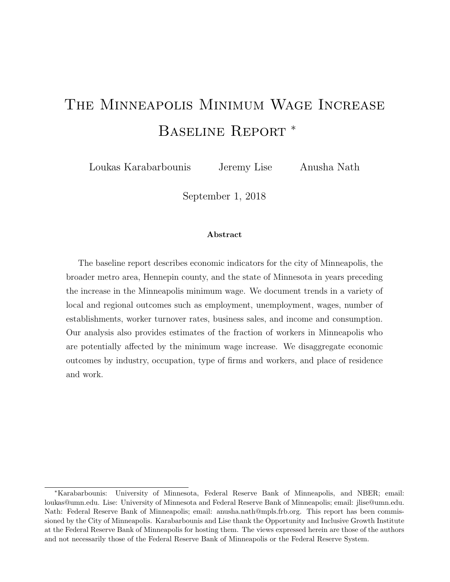# The Minneapolis Minimum Wage Increase Baseline Report <sup>∗</sup>

Loukas Karabarbounis Jeremy Lise Anusha Nath

September 1, 2018

#### Abstract

The baseline report describes economic indicators for the city of Minneapolis, the broader metro area, Hennepin county, and the state of Minnesota in years preceding the increase in the Minneapolis minimum wage. We document trends in a variety of local and regional outcomes such as employment, unemployment, wages, number of establishments, worker turnover rates, business sales, and income and consumption. Our analysis also provides estimates of the fraction of workers in Minneapolis who are potentially affected by the minimum wage increase. We disaggregate economic outcomes by industry, occupation, type of firms and workers, and place of residence and work.

<sup>∗</sup>Karabarbounis: University of Minnesota, Federal Reserve Bank of Minneapolis, and NBER; email: loukas@umn.edu. Lise: University of Minnesota and Federal Reserve Bank of Minneapolis; email: jlise@umn.edu. Nath: Federal Reserve Bank of Minneapolis; email: anusha.nath@mpls.frb.org. This report has been commissioned by the City of Minneapolis. Karabarbounis and Lise thank the Opportunity and Inclusive Growth Institute at the Federal Reserve Bank of Minneapolis for hosting them. The views expressed herein are those of the authors and not necessarily those of the Federal Reserve Bank of Minneapolis or the Federal Reserve System.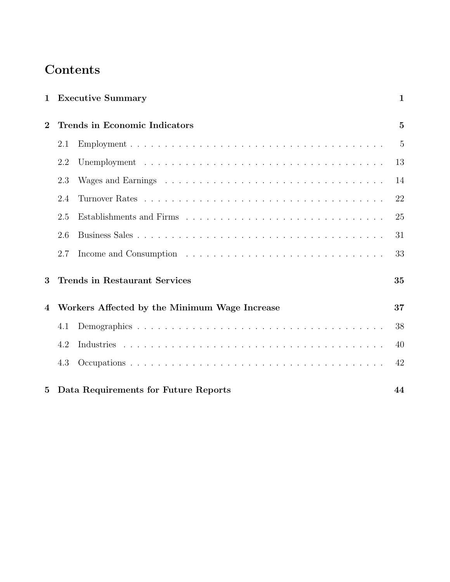# Contents

| $\mathbf 1$    |     | <b>Executive Summary</b>                      | $\mathbf{1}$   |
|----------------|-----|-----------------------------------------------|----------------|
| $\overline{2}$ |     | Trends in Economic Indicators                 | $\overline{5}$ |
|                | 2.1 |                                               | $\overline{5}$ |
|                | 2.2 |                                               | 13             |
|                | 2.3 |                                               | 14             |
|                | 2.4 |                                               | 22             |
|                | 2.5 |                                               | 25             |
|                | 2.6 |                                               | 31             |
|                | 2.7 |                                               | 33             |
| 3              |     | <b>Trends in Restaurant Services</b>          | 35             |
| $\overline{4}$ |     | Workers Affected by the Minimum Wage Increase | 37             |
|                | 4.1 |                                               | 38             |
|                | 4.2 |                                               | 40             |
|                | 4.3 |                                               | 42             |
| $\overline{5}$ |     | Data Requirements for Future Reports          | 44             |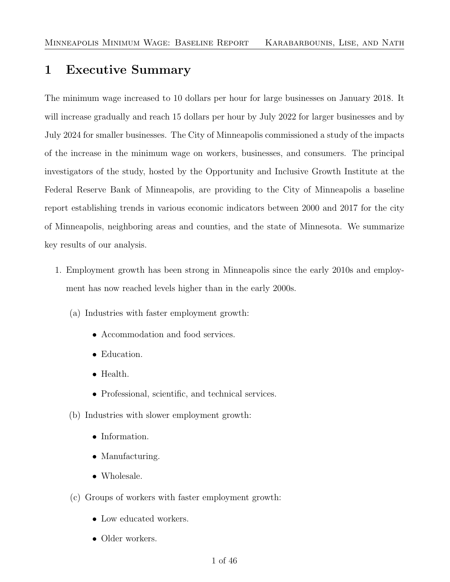# <span id="page-2-0"></span>1 Executive Summary

The minimum wage increased to 10 dollars per hour for large businesses on January 2018. It will increase gradually and reach 15 dollars per hour by July 2022 for larger businesses and by July 2024 for smaller businesses. The City of Minneapolis commissioned a study of the impacts of the increase in the minimum wage on workers, businesses, and consumers. The principal investigators of the study, hosted by the Opportunity and Inclusive Growth Institute at the Federal Reserve Bank of Minneapolis, are providing to the City of Minneapolis a baseline report establishing trends in various economic indicators between 2000 and 2017 for the city of Minneapolis, neighboring areas and counties, and the state of Minnesota. We summarize key results of our analysis.

- 1. Employment growth has been strong in Minneapolis since the early 2010s and employment has now reached levels higher than in the early 2000s.
	- (a) Industries with faster employment growth:
		- Accommodation and food services.
		- Education.
		- Health.
		- Professional, scientific, and technical services.
	- (b) Industries with slower employment growth:
		- Information.
		- Manufacturing.
		- Wholesale.
	- (c) Groups of workers with faster employment growth:
		- Low educated workers.
		- Older workers.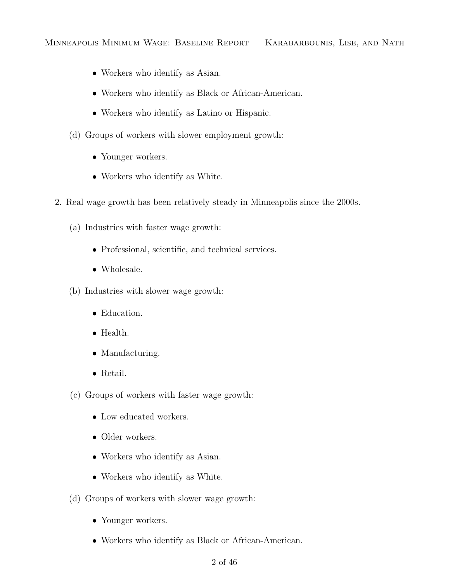- Workers who identify as Asian.
- Workers who identify as Black or African-American.
- Workers who identify as Latino or Hispanic.
- (d) Groups of workers with slower employment growth:
	- Younger workers.
	- Workers who identify as White.
- 2. Real wage growth has been relatively steady in Minneapolis since the 2000s.
	- (a) Industries with faster wage growth:
		- Professional, scientific, and technical services.
		- Wholesale.
	- (b) Industries with slower wage growth:
		- Education.
		- Health.
		- Manufacturing.
		- Retail.
	- (c) Groups of workers with faster wage growth:
		- Low educated workers.
		- Older workers.
		- Workers who identify as Asian.
		- Workers who identify as White.
	- (d) Groups of workers with slower wage growth:
		- Younger workers.
		- Workers who identify as Black or African-American.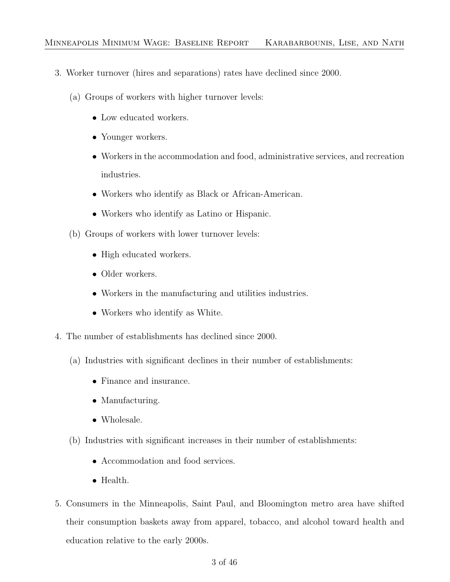- 3. Worker turnover (hires and separations) rates have declined since 2000.
	- (a) Groups of workers with higher turnover levels:
		- Low educated workers.
		- Younger workers.
		- Workers in the accommodation and food, administrative services, and recreation industries.
		- Workers who identify as Black or African-American.
		- Workers who identify as Latino or Hispanic.
	- (b) Groups of workers with lower turnover levels:
		- High educated workers.
		- Older workers.
		- Workers in the manufacturing and utilities industries.
		- Workers who identify as White.
- 4. The number of establishments has declined since 2000.
	- (a) Industries with significant declines in their number of establishments:
		- Finance and insurance.
		- Manufacturing.
		- Wholesale.
	- (b) Industries with significant increases in their number of establishments:
		- Accommodation and food services.
		- Health.
- 5. Consumers in the Minneapolis, Saint Paul, and Bloomington metro area have shifted their consumption baskets away from apparel, tobacco, and alcohol toward health and education relative to the early 2000s.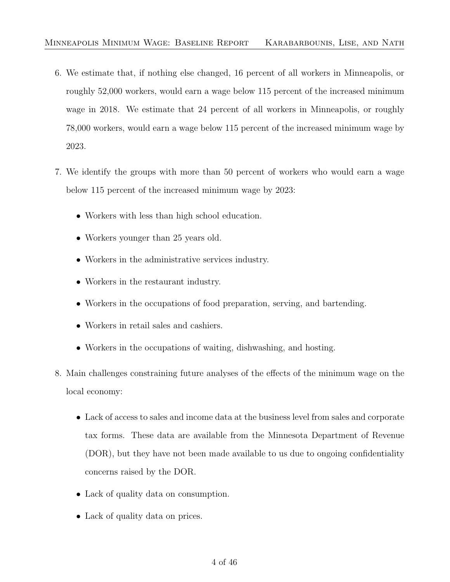- 6. We estimate that, if nothing else changed, 16 percent of all workers in Minneapolis, or roughly 52,000 workers, would earn a wage below 115 percent of the increased minimum wage in 2018. We estimate that 24 percent of all workers in Minneapolis, or roughly 78,000 workers, would earn a wage below 115 percent of the increased minimum wage by 2023.
- 7. We identify the groups with more than 50 percent of workers who would earn a wage below 115 percent of the increased minimum wage by 2023:
	- Workers with less than high school education.
	- Workers younger than 25 years old.
	- Workers in the administrative services industry.
	- Workers in the restaurant industry.
	- Workers in the occupations of food preparation, serving, and bartending.
	- Workers in retail sales and cashiers.
	- Workers in the occupations of waiting, dishwashing, and hosting.
- 8. Main challenges constraining future analyses of the effects of the minimum wage on the local economy:
	- Lack of access to sales and income data at the business level from sales and corporate tax forms. These data are available from the Minnesota Department of Revenue (DOR), but they have not been made available to us due to ongoing confidentiality concerns raised by the DOR.
	- Lack of quality data on consumption.
	- Lack of quality data on prices.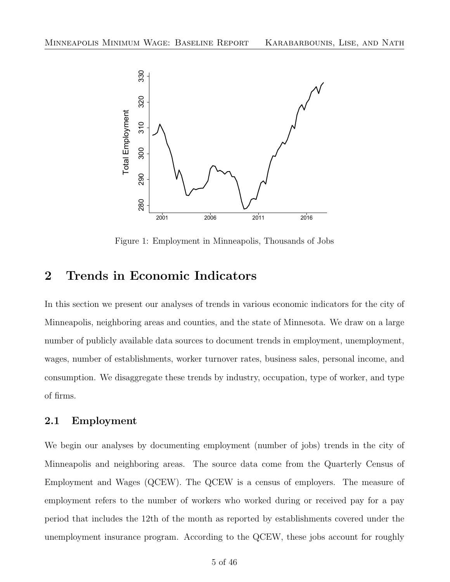<span id="page-6-2"></span>

Figure 1: Employment in Minneapolis, Thousands of Jobs

# <span id="page-6-0"></span>2 Trends in Economic Indicators

In this section we present our analyses of trends in various economic indicators for the city of Minneapolis, neighboring areas and counties, and the state of Minnesota. We draw on a large number of publicly available data sources to document trends in employment, unemployment, wages, number of establishments, worker turnover rates, business sales, personal income, and consumption. We disaggregate these trends by industry, occupation, type of worker, and type of firms.

#### <span id="page-6-1"></span>2.1 Employment

We begin our analyses by documenting employment (number of jobs) trends in the city of Minneapolis and neighboring areas. The source data come from the Quarterly Census of Employment and Wages (QCEW). The QCEW is a census of employers. The measure of employment refers to the number of workers who worked during or received pay for a pay period that includes the 12th of the month as reported by establishments covered under the unemployment insurance program. According to the QCEW, these jobs account for roughly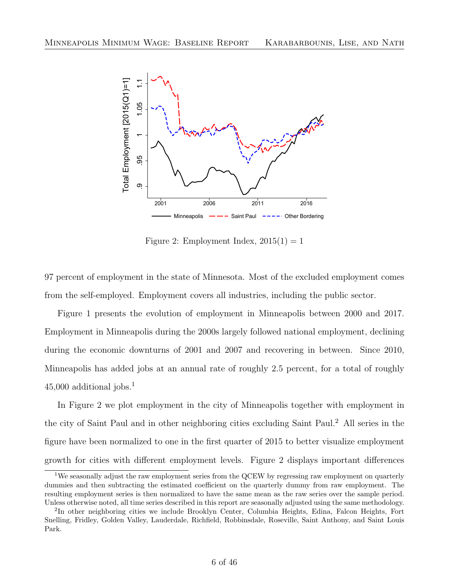<span id="page-7-1"></span>

Figure 2: Employment Index,  $2015(1) = 1$ 

97 percent of employment in the state of Minnesota. Most of the excluded employment comes from the self-employed. Employment covers all industries, including the public sector.

Figure [1](#page-6-2) presents the evolution of employment in Minneapolis between 2000 and 2017. Employment in Minneapolis during the 2000s largely followed national employment, declining during the economic downturns of 2001 and 2007 and recovering in between. Since 2010, Minneapolis has added jobs at an annual rate of roughly 2.5 percent, for a total of roughly  $45,000$  additional jobs.<sup>[1](#page-7-0)</sup>

In Figure [2](#page-7-1) we plot employment in the city of Minneapolis together with employment in the city of Saint Paul and in other neighboring cities excluding Saint Paul.[2](#page-7-2) All series in the figure have been normalized to one in the first quarter of 2015 to better visualize employment growth for cities with different employment levels. Figure [2](#page-7-1) displays important differences

<span id="page-7-0"></span><sup>&</sup>lt;sup>1</sup>We seasonally adjust the raw employment series from the QCEW by regressing raw employment on quarterly dummies and then subtracting the estimated coefficient on the quarterly dummy from raw employment. The resulting employment series is then normalized to have the same mean as the raw series over the sample period. Unless otherwise noted, all time series described in this report are seasonally adjusted using the same methodology.

<span id="page-7-2"></span><sup>&</sup>lt;sup>2</sup>In other neighboring cities we include Brooklyn Center, Columbia Heights, Edina, Falcon Heights, Fort Snelling, Fridley, Golden Valley, Lauderdale, Richfield, Robbinsdale, Roseville, Saint Anthony, and Saint Louis Park.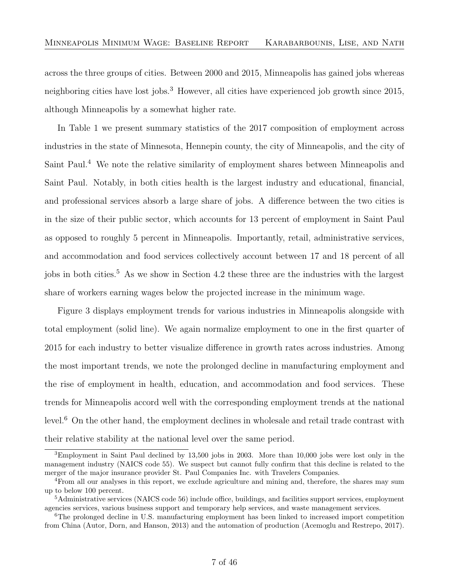across the three groups of cities. Between 2000 and 2015, Minneapolis has gained jobs whereas neighboring cities have lost jobs.<sup>[3](#page-8-0)</sup> However, all cities have experienced job growth since 2015, although Minneapolis by a somewhat higher rate.

In Table [1](#page-9-0) we present summary statistics of the 2017 composition of employment across industries in the state of Minnesota, Hennepin county, the city of Minneapolis, and the city of Saint Paul.[4](#page-8-1) We note the relative similarity of employment shares between Minneapolis and Saint Paul. Notably, in both cities health is the largest industry and educational, financial, and professional services absorb a large share of jobs. A difference between the two cities is in the size of their public sector, which accounts for 13 percent of employment in Saint Paul as opposed to roughly 5 percent in Minneapolis. Importantly, retail, administrative services, and accommodation and food services collectively account between 17 and 18 percent of all iobs in both cities.<sup>[5](#page-8-2)</sup> As we show in Section [4.2](#page-41-0) these three are the industries with the largest share of workers earning wages below the projected increase in the minimum wage.

Figure [3](#page-10-0) displays employment trends for various industries in Minneapolis alongside with total employment (solid line). We again normalize employment to one in the first quarter of 2015 for each industry to better visualize difference in growth rates across industries. Among the most important trends, we note the prolonged decline in manufacturing employment and the rise of employment in health, education, and accommodation and food services. These trends for Minneapolis accord well with the corresponding employment trends at the national level.[6](#page-8-3) On the other hand, the employment declines in wholesale and retail trade contrast with their relative stability at the national level over the same period.

<span id="page-8-0"></span><sup>3</sup>Employment in Saint Paul declined by 13,500 jobs in 2003. More than 10,000 jobs were lost only in the management industry (NAICS code 55). We suspect but cannot fully confirm that this decline is related to the merger of the major insurance provider St. Paul Companies Inc. with Travelers Companies.

<span id="page-8-1"></span><sup>4</sup>From all our analyses in this report, we exclude agriculture and mining and, therefore, the shares may sum up to below 100 percent.

<span id="page-8-2"></span><sup>5</sup>Administrative services (NAICS code 56) include office, buildings, and facilities support services, employment agencies services, various business support and temporary help services, and waste management services.

<span id="page-8-3"></span><sup>6</sup>The prolonged decline in U.S. manufacturing employment has been linked to increased import competition from China [\(Autor, Dorn, and Hanson,](#page-47-1) [2013\)](#page-47-1) and the automation of production [\(Acemoglu and Restrepo,](#page-47-2) [2017\)](#page-47-2).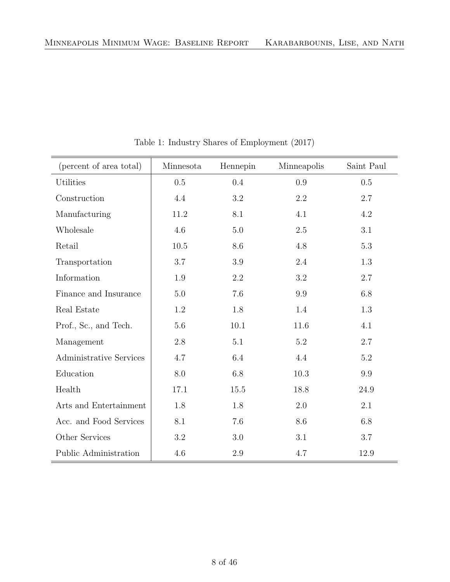<span id="page-9-0"></span>

| (percent of area total)        | Minnesota | Hennepin | Minneapolis | Saint Paul |
|--------------------------------|-----------|----------|-------------|------------|
| Utilities                      | 0.5       | 0.4      | 0.9         | 0.5        |
| Construction                   | 4.4       | $3.2\,$  | 2.2         | 2.7        |
| Manufacturing                  | 11.2      | 8.1      | 4.1         | 4.2        |
| Wholesale                      | 4.6       | 5.0      | 2.5         | 3.1        |
| Retail                         | $10.5\,$  | 8.6      | 4.8         | $5.3\,$    |
| Transportation                 | 3.7       | $3.9\,$  | 2.4         | $1.3\,$    |
| Information                    | 1.9       | 2.2      | 3.2         | 2.7        |
| Finance and Insurance          | 5.0       | 7.6      | 9.9         | $6.8\,$    |
| Real Estate                    | 1.2       | 1.8      | 1.4         | 1.3        |
| Prof., Sc., and Tech.          | 5.6       | $10.1\,$ | 11.6        | 4.1        |
| Management                     | $2.8\,$   | 5.1      | 5.2         | 2.7        |
| <b>Administrative Services</b> | 4.7       | 6.4      | 4.4         | $5.2\,$    |
| Education                      | 8.0       | 6.8      | 10.3        | 9.9        |
| Health                         | 17.1      | 15.5     | 18.8        | 24.9       |
| Arts and Entertainment         | 1.8       | 1.8      | 2.0         | 2.1        |
| Acc. and Food Services         | 8.1       | 7.6      | 8.6         | 6.8        |
| Other Services                 | 3.2       | 3.0      | 3.1         | 3.7        |
| Public Administration          | 4.6       | $2.9\,$  | 4.7         | 12.9       |

Table 1: Industry Shares of Employment (2017)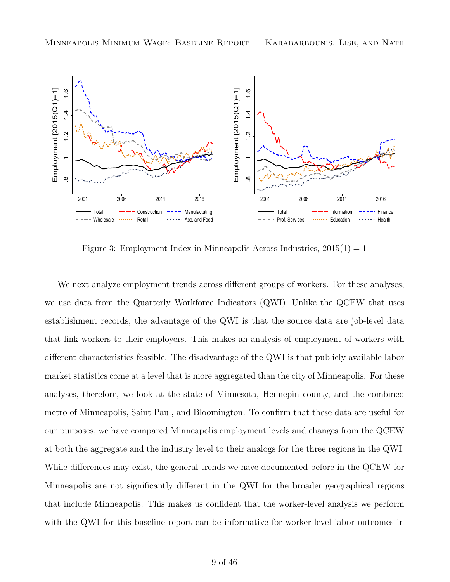<span id="page-10-0"></span>

Figure 3: Employment Index in Minneapolis Across Industries,  $2015(1) = 1$ 

We next analyze employment trends across different groups of workers. For these analyses, we use data from the Quarterly Workforce Indicators (QWI). Unlike the QCEW that uses establishment records, the advantage of the QWI is that the source data are job-level data that link workers to their employers. This makes an analysis of employment of workers with different characteristics feasible. The disadvantage of the QWI is that publicly available labor market statistics come at a level that is more aggregated than the city of Minneapolis. For these analyses, therefore, we look at the state of Minnesota, Hennepin county, and the combined metro of Minneapolis, Saint Paul, and Bloomington. To confirm that these data are useful for our purposes, we have compared Minneapolis employment levels and changes from the QCEW at both the aggregate and the industry level to their analogs for the three regions in the QWI. While differences may exist, the general trends we have documented before in the QCEW for Minneapolis are not significantly different in the QWI for the broader geographical regions that include Minneapolis. This makes us confident that the worker-level analysis we perform with the QWI for this baseline report can be informative for worker-level labor outcomes in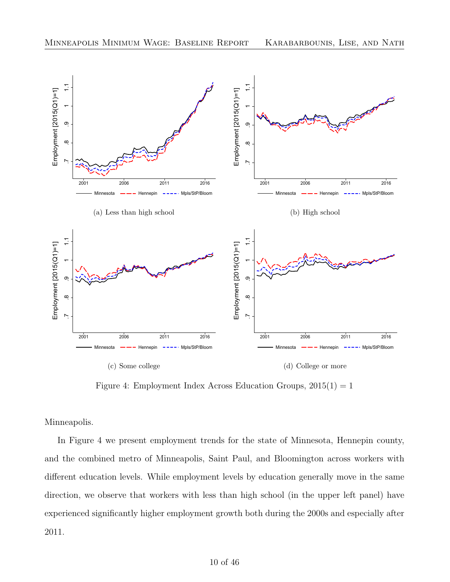<span id="page-11-0"></span>

Figure 4: Employment Index Across Education Groups,  $2015(1) = 1$ 

Minneapolis.

In Figure [4](#page-11-0) we present employment trends for the state of Minnesota, Hennepin county, and the combined metro of Minneapolis, Saint Paul, and Bloomington across workers with different education levels. While employment levels by education generally move in the same direction, we observe that workers with less than high school (in the upper left panel) have experienced significantly higher employment growth both during the 2000s and especially after 2011.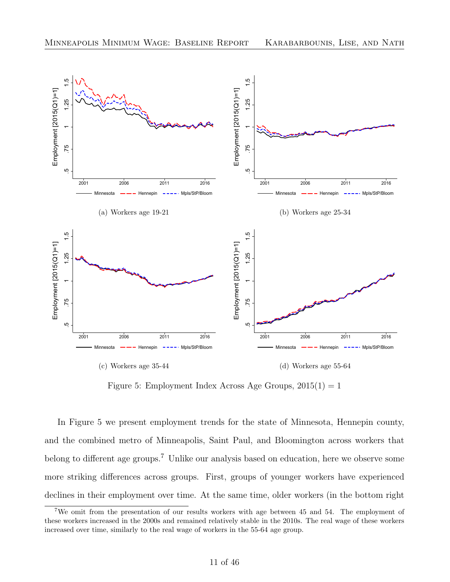<span id="page-12-0"></span>

Figure 5: Employment Index Across Age Groups,  $2015(1) = 1$ 

In Figure [5](#page-12-0) we present employment trends for the state of Minnesota, Hennepin county, and the combined metro of Minneapolis, Saint Paul, and Bloomington across workers that belong to different age groups.[7](#page-12-1) Unlike our analysis based on education, here we observe some more striking differences across groups. First, groups of younger workers have experienced declines in their employment over time. At the same time, older workers (in the bottom right

<span id="page-12-1"></span><sup>7</sup>We omit from the presentation of our results workers with age between 45 and 54. The employment of these workers increased in the 2000s and remained relatively stable in the 2010s. The real wage of these workers increased over time, similarly to the real wage of workers in the 55-64 age group.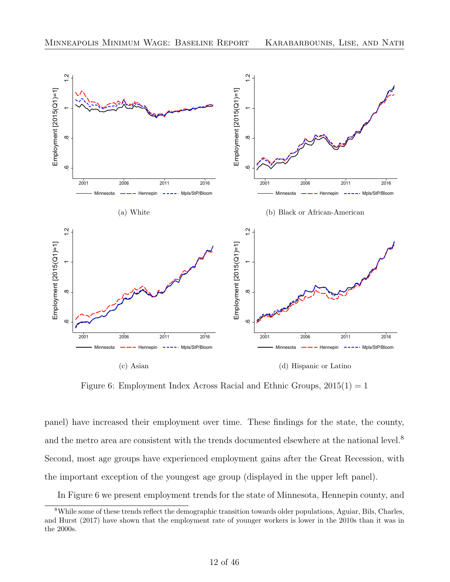<span id="page-13-1"></span>

Figure 6: Employment Index Across Racial and Ethnic Groups,  $2015(1) = 1$ 

panel) have increased their employment over time. These findings for the state, the county, and the metro area are consistent with the trends documented elsewhere at the national level.<sup>[8](#page-13-0)</sup> Second, most age groups have experienced employment gains after the Great Recession, with the important exception of the youngest age group (displayed in the upper left panel).

<span id="page-13-0"></span>In Figure [6](#page-13-1) we present employment trends for the state of Minnesota, Hennepin county, and

<sup>8</sup>While some of these trends reflect the demographic transition towards older populations, [Aguiar, Bils, Charles,](#page-47-3) [and Hurst](#page-47-3) [\(2017\)](#page-47-3) have shown that the employment rate of younger workers is lower in the 2010s than it was in the 2000s.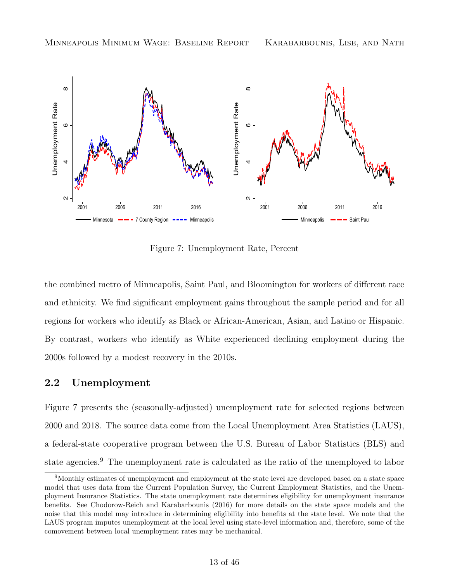<span id="page-14-1"></span>

Figure 7: Unemployment Rate, Percent

the combined metro of Minneapolis, Saint Paul, and Bloomington for workers of different race and ethnicity. We find significant employment gains throughout the sample period and for all regions for workers who identify as Black or African-American, Asian, and Latino or Hispanic. By contrast, workers who identify as White experienced declining employment during the 2000s followed by a modest recovery in the 2010s.

#### <span id="page-14-0"></span>2.2 Unemployment

Figure [7](#page-14-1) presents the (seasonally-adjusted) unemployment rate for selected regions between 2000 and 2018. The source data come from the Local Unemployment Area Statistics (LAUS), a federal-state cooperative program between the U.S. Bureau of Labor Statistics (BLS) and state agencies.[9](#page-14-2) The unemployment rate is calculated as the ratio of the unemployed to labor

<span id="page-14-2"></span><sup>9</sup>Monthly estimates of unemployment and employment at the state level are developed based on a state space model that uses data from the Current Population Survey, the Current Employment Statistics, and the Unemployment Insurance Statistics. The state unemployment rate determines eligibility for unemployment insurance benefits. See [Chodorow-Reich and Karabarbounis](#page-47-4) [\(2016\)](#page-47-4) for more details on the state space models and the noise that this model may introduce in determining eligibility into benefits at the state level. We note that the LAUS program imputes unemployment at the local level using state-level information and, therefore, some of the comovement between local unemployment rates may be mechanical.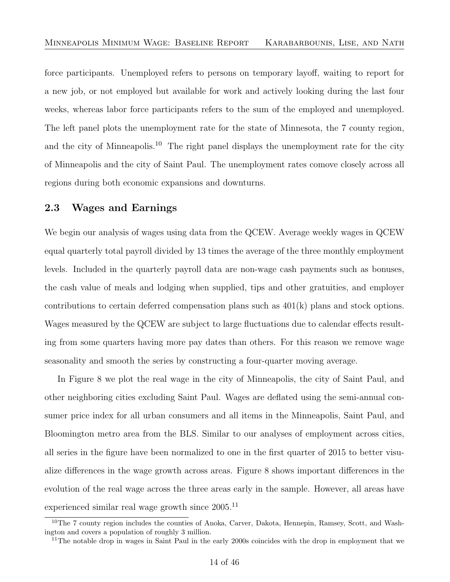force participants. Unemployed refers to persons on temporary layoff, waiting to report for a new job, or not employed but available for work and actively looking during the last four weeks, whereas labor force participants refers to the sum of the employed and unemployed. The left panel plots the unemployment rate for the state of Minnesota, the 7 county region, and the city of Minneapolis.<sup>[10](#page-15-1)</sup> The right panel displays the unemployment rate for the city of Minneapolis and the city of Saint Paul. The unemployment rates comove closely across all regions during both economic expansions and downturns.

#### <span id="page-15-0"></span>2.3 Wages and Earnings

We begin our analysis of wages using data from the QCEW. Average weekly wages in QCEW equal quarterly total payroll divided by 13 times the average of the three monthly employment levels. Included in the quarterly payroll data are non-wage cash payments such as bonuses, the cash value of meals and lodging when supplied, tips and other gratuities, and employer contributions to certain deferred compensation plans such as 401(k) plans and stock options. Wages measured by the QCEW are subject to large fluctuations due to calendar effects resulting from some quarters having more pay dates than others. For this reason we remove wage seasonality and smooth the series by constructing a four-quarter moving average.

In Figure [8](#page-16-0) we plot the real wage in the city of Minneapolis, the city of Saint Paul, and other neighboring cities excluding Saint Paul. Wages are deflated using the semi-annual consumer price index for all urban consumers and all items in the Minneapolis, Saint Paul, and Bloomington metro area from the BLS. Similar to our analyses of employment across cities, all series in the figure have been normalized to one in the first quarter of 2015 to better visualize differences in the wage growth across areas. Figure [8](#page-16-0) shows important differences in the evolution of the real wage across the three areas early in the sample. However, all areas have experienced similar real wage growth since  $2005$ <sup>[11](#page-15-2)</sup>

<span id="page-15-1"></span><sup>&</sup>lt;sup>10</sup>The 7 county region includes the counties of Anoka, Carver, Dakota, Hennepin, Ramsey, Scott, and Washington and covers a population of roughly 3 million.

<span id="page-15-2"></span><sup>&</sup>lt;sup>11</sup>The notable drop in wages in Saint Paul in the early 2000s coincides with the drop in employment that we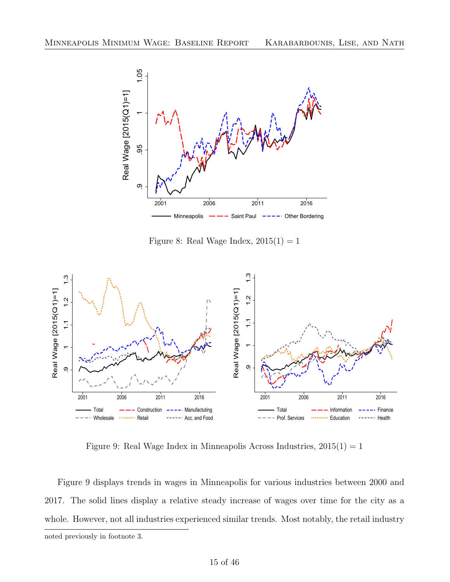<span id="page-16-0"></span>

Figure 8: Real Wage Index,  $2015(1) = 1$ 

<span id="page-16-1"></span>

Figure 9: Real Wage Index in Minneapolis Across Industries,  $2015(1) = 1$ 

Figure [9](#page-16-1) displays trends in wages in Minneapolis for various industries between 2000 and 2017. The solid lines display a relative steady increase of wages over time for the city as a whole. However, not all industries experienced similar trends. Most notably, the retail industry noted previously in footnote [3.](#page-8-0)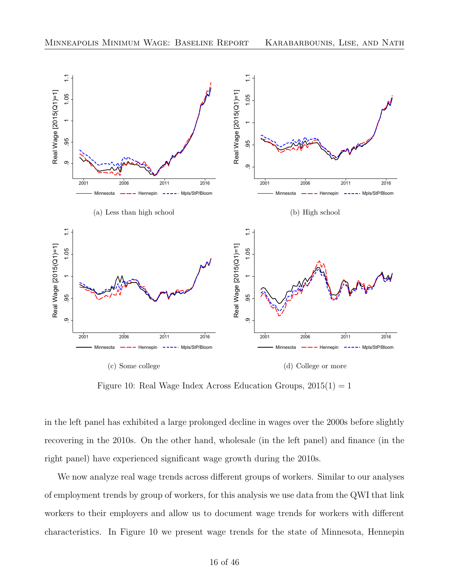<span id="page-17-0"></span>

Figure 10: Real Wage Index Across Education Groups,  $2015(1) = 1$ 

in the left panel has exhibited a large prolonged decline in wages over the 2000s before slightly recovering in the 2010s. On the other hand, wholesale (in the left panel) and finance (in the right panel) have experienced significant wage growth during the 2010s.

We now analyze real wage trends across different groups of workers. Similar to our analyses of employment trends by group of workers, for this analysis we use data from the QWI that link workers to their employers and allow us to document wage trends for workers with different characteristics. In Figure [10](#page-17-0) we present wage trends for the state of Minnesota, Hennepin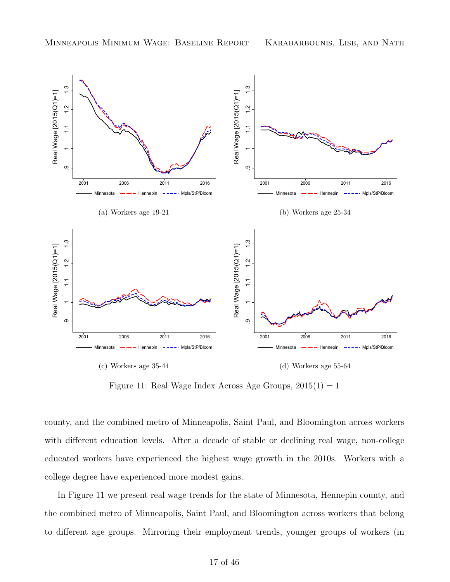<span id="page-18-0"></span>

Figure 11: Real Wage Index Across Age Groups,  $2015(1) = 1$ 

county, and the combined metro of Minneapolis, Saint Paul, and Bloomington across workers with different education levels. After a decade of stable or declining real wage, non-college educated workers have experienced the highest wage growth in the 2010s. Workers with a college degree have experienced more modest gains.

In Figure [11](#page-18-0) we present real wage trends for the state of Minnesota, Hennepin county, and the combined metro of Minneapolis, Saint Paul, and Bloomington across workers that belong to different age groups. Mirroring their employment trends, younger groups of workers (in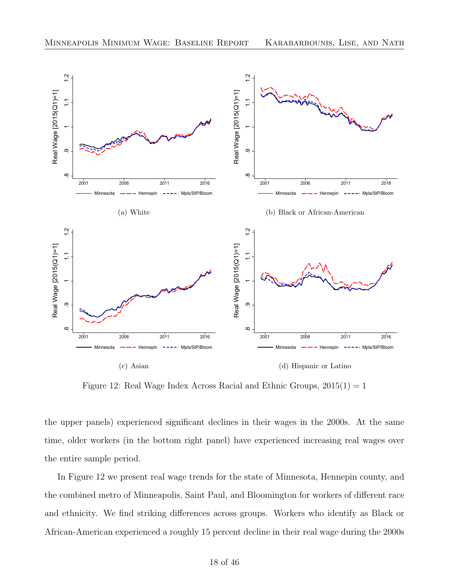<span id="page-19-0"></span>

Figure 12: Real Wage Index Across Racial and Ethnic Groups,  $2015(1) = 1$ 

the upper panels) experienced significant declines in their wages in the 2000s. At the same time, older workers (in the bottom right panel) have experienced increasing real wages over the entire sample period.

In Figure [12](#page-19-0) we present real wage trends for the state of Minnesota, Hennepin county, and the combined metro of Minneapolis, Saint Paul, and Bloomington for workers of different race and ethnicity. We find striking differences across groups. Workers who identify as Black or African-American experienced a roughly 15 percent decline in their real wage during the 2000s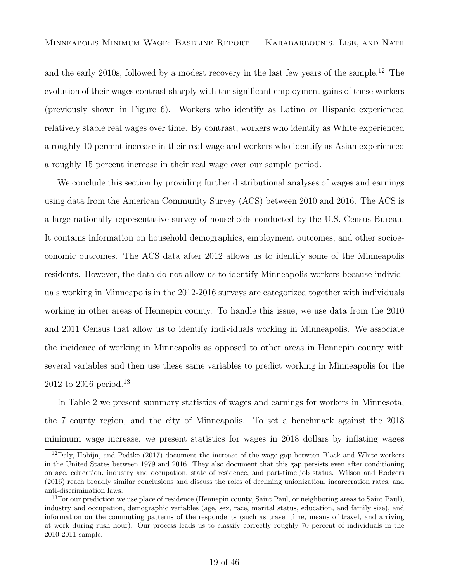and the early 2010s, followed by a modest recovery in the last few years of the sample.<sup>[12](#page-20-0)</sup> The evolution of their wages contrast sharply with the significant employment gains of these workers (previously shown in Figure [6\)](#page-13-1). Workers who identify as Latino or Hispanic experienced relatively stable real wages over time. By contrast, workers who identify as White experienced a roughly 10 percent increase in their real wage and workers who identify as Asian experienced a roughly 15 percent increase in their real wage over our sample period.

We conclude this section by providing further distributional analyses of wages and earnings using data from the American Community Survey (ACS) between 2010 and 2016. The ACS is a large nationally representative survey of households conducted by the U.S. Census Bureau. It contains information on household demographics, employment outcomes, and other socioeconomic outcomes. The ACS data after 2012 allows us to identify some of the Minneapolis residents. However, the data do not allow us to identify Minneapolis workers because individuals working in Minneapolis in the 2012-2016 surveys are categorized together with individuals working in other areas of Hennepin county. To handle this issue, we use data from the 2010 and 2011 Census that allow us to identify individuals working in Minneapolis. We associate the incidence of working in Minneapolis as opposed to other areas in Hennepin county with several variables and then use these same variables to predict working in Minneapolis for the 2012 to 2016 period.[13](#page-20-1)

In Table [2](#page-21-0) we present summary statistics of wages and earnings for workers in Minnesota, the 7 county region, and the city of Minneapolis. To set a benchmark against the 2018 minimum wage increase, we present statistics for wages in 2018 dollars by inflating wages

<span id="page-20-0"></span> $12Daly$ , Hobijn, and Pedtke [\(2017\)](#page-47-5) document the increase of the wage gap between Black and White workers in the United States between 1979 and 2016. They also document that this gap persists even after conditioning on age, education, industry and occupation, state of residence, and part-time job status. [Wilson and Rodgers](#page-47-6) [\(2016\)](#page-47-6) reach broadly similar conclusions and discuss the roles of declining unionization, incarceration rates, and anti-discrimination laws.

<span id="page-20-1"></span> $13$  For our prediction we use place of residence (Hennepin county, Saint Paul, or neighboring areas to Saint Paul), industry and occupation, demographic variables (age, sex, race, marital status, education, and family size), and information on the commuting patterns of the respondents (such as travel time, means of travel, and arriving at work during rush hour). Our process leads us to classify correctly roughly 70 percent of individuals in the 2010-2011 sample.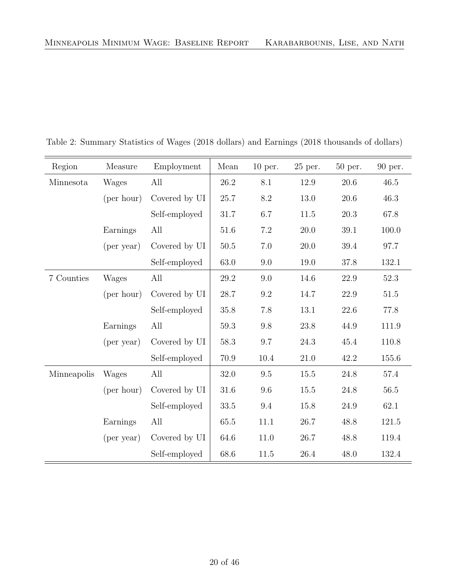| Region      | Measure      | Employment    | Mean     | $10$ per. | $25$ per. | 50 per.  | 90 per.  |
|-------------|--------------|---------------|----------|-----------|-----------|----------|----------|
| Minnesota   | Wages        | All           | $26.2\,$ | 8.1       | 12.9      | 20.6     | 46.5     |
|             | (per hour)   | Covered by UI | 25.7     | 8.2       | 13.0      | $20.6\,$ | 46.3     |
|             |              | Self-employed | 31.7     | 6.7       | 11.5      | 20.3     | 67.8     |
|             | Earnings     | All           | 51.6     | 7.2       | $20.0\,$  | 39.1     | 100.0    |
|             | (per year)   | Covered by UI | $50.5$   | 7.0       | 20.0      | 39.4     | 97.7     |
|             |              | Self-employed | 63.0     | 9.0       | 19.0      | 37.8     | 132.1    |
| 7 Counties  | Wages        | All           | 29.2     | 9.0       | 14.6      | $22.9\,$ | 52.3     |
|             | (per hour)   | Covered by UI | 28.7     | $\rm 9.2$ | 14.7      | 22.9     | 51.5     |
|             |              | Self-employed | 35.8     | 7.8       | $13.1\,$  | $22.6\,$ | 77.8     |
|             | Earnings     | All           | 59.3     | 9.8       | 23.8      | 44.9     | 111.9    |
|             | (per year)   | Covered by UI | 58.3     | 9.7       | 24.3      | 45.4     | 110.8    |
|             |              | Self-employed | 70.9     | 10.4      | $21.0\,$  | 42.2     | 155.6    |
| Minneapolis | <b>Wages</b> | All           | 32.0     | 9.5       | 15.5      | 24.8     | $57.4\,$ |
|             | (per hour)   | Covered by UI | 31.6     | 9.6       | 15.5      | 24.8     | 56.5     |
|             |              | Self-employed | 33.5     | 9.4       | 15.8      | 24.9     | 62.1     |
|             | Earnings     | All           | 65.5     | 11.1      | 26.7      | 48.8     | 121.5    |
|             | (per year)   | Covered by UI | 64.6     | 11.0      | 26.7      | 48.8     | 119.4    |
|             |              | Self-employed | 68.6     | 11.5      | 26.4      | 48.0     | 132.4    |

<span id="page-21-0"></span>Table 2: Summary Statistics of Wages (2018 dollars) and Earnings (2018 thousands of dollars)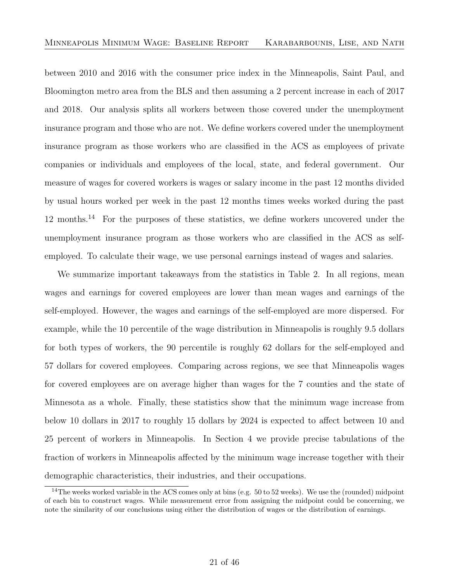between 2010 and 2016 with the consumer price index in the Minneapolis, Saint Paul, and Bloomington metro area from the BLS and then assuming a 2 percent increase in each of 2017 and 2018. Our analysis splits all workers between those covered under the unemployment insurance program and those who are not. We define workers covered under the unemployment insurance program as those workers who are classified in the ACS as employees of private companies or individuals and employees of the local, state, and federal government. Our measure of wages for covered workers is wages or salary income in the past 12 months divided by usual hours worked per week in the past 12 months times weeks worked during the past 12 months.[14](#page-22-0) For the purposes of these statistics, we define workers uncovered under the unemployment insurance program as those workers who are classified in the ACS as selfemployed. To calculate their wage, we use personal earnings instead of wages and salaries.

We summarize important takeaways from the statistics in Table [2.](#page-21-0) In all regions, mean wages and earnings for covered employees are lower than mean wages and earnings of the self-employed. However, the wages and earnings of the self-employed are more dispersed. For example, while the 10 percentile of the wage distribution in Minneapolis is roughly 9.5 dollars for both types of workers, the 90 percentile is roughly 62 dollars for the self-employed and 57 dollars for covered employees. Comparing across regions, we see that Minneapolis wages for covered employees are on average higher than wages for the 7 counties and the state of Minnesota as a whole. Finally, these statistics show that the minimum wage increase from below 10 dollars in 2017 to roughly 15 dollars by 2024 is expected to affect between 10 and 25 percent of workers in Minneapolis. In Section [4](#page-38-0) we provide precise tabulations of the fraction of workers in Minneapolis affected by the minimum wage increase together with their demographic characteristics, their industries, and their occupations.

<span id="page-22-0"></span> $14$ The weeks worked variable in the ACS comes only at bins (e.g. 50 to 52 weeks). We use the (rounded) midpoint of each bin to construct wages. While measurement error from assigning the midpoint could be concerning, we note the similarity of our conclusions using either the distribution of wages or the distribution of earnings.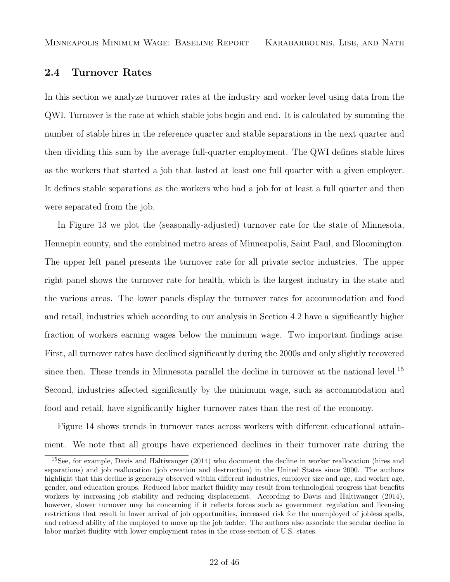#### <span id="page-23-0"></span>2.4 Turnover Rates

In this section we analyze turnover rates at the industry and worker level using data from the QWI. Turnover is the rate at which stable jobs begin and end. It is calculated by summing the number of stable hires in the reference quarter and stable separations in the next quarter and then dividing this sum by the average full-quarter employment. The QWI defines stable hires as the workers that started a job that lasted at least one full quarter with a given employer. It defines stable separations as the workers who had a job for at least a full quarter and then were separated from the job.

In Figure [13](#page-24-0) we plot the (seasonally-adjusted) turnover rate for the state of Minnesota, Hennepin county, and the combined metro areas of Minneapolis, Saint Paul, and Bloomington. The upper left panel presents the turnover rate for all private sector industries. The upper right panel shows the turnover rate for health, which is the largest industry in the state and the various areas. The lower panels display the turnover rates for accommodation and food and retail, industries which according to our analysis in Section [4.2](#page-41-0) have a significantly higher fraction of workers earning wages below the minimum wage. Two important findings arise. First, all turnover rates have declined significantly during the 2000s and only slightly recovered since then. These trends in Minnesota parallel the decline in turnover at the national level.<sup>[15](#page-23-1)</sup> Second, industries affected significantly by the minimum wage, such as accommodation and food and retail, have significantly higher turnover rates than the rest of the economy.

Figure [14](#page-25-0) shows trends in turnover rates across workers with different educational attainment. We note that all groups have experienced declines in their turnover rate during the

<span id="page-23-1"></span><sup>15</sup>See, for example, [Davis and Haltiwanger](#page-47-7) [\(2014\)](#page-47-7) who document the decline in worker reallocation (hires and separations) and job reallocation (job creation and destruction) in the United States since 2000. The authors highlight that this decline is generally observed within different industries, employer size and age, and worker age, gender, and education groups. Reduced labor market fluidity may result from technological progress that benefits workers by increasing job stability and reducing displacement. According to [Davis and Haltiwanger](#page-47-7) [\(2014\)](#page-47-7), however, slower turnover may be concerning if it reflects forces such as government regulation and licensing restrictions that result in lower arrival of job opportunities, increased risk for the unemployed of jobless spells, and reduced ability of the employed to move up the job ladder. The authors also associate the secular decline in labor market fluidity with lower employment rates in the cross-section of U.S. states.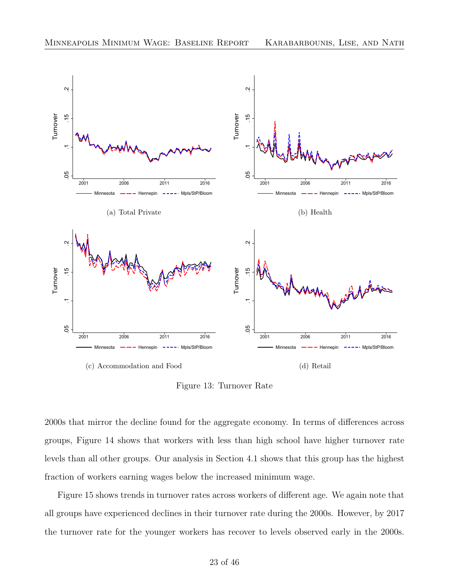<span id="page-24-0"></span>

Figure 13: Turnover Rate

2000s that mirror the decline found for the aggregate economy. In terms of differences across groups, Figure [14](#page-25-0) shows that workers with less than high school have higher turnover rate levels than all other groups. Our analysis in Section [4.1](#page-39-0) shows that this group has the highest fraction of workers earning wages below the increased minimum wage.

Figure [15](#page-26-1) shows trends in turnover rates across workers of different age. We again note that all groups have experienced declines in their turnover rate during the 2000s. However, by 2017 the turnover rate for the younger workers has recover to levels observed early in the 2000s.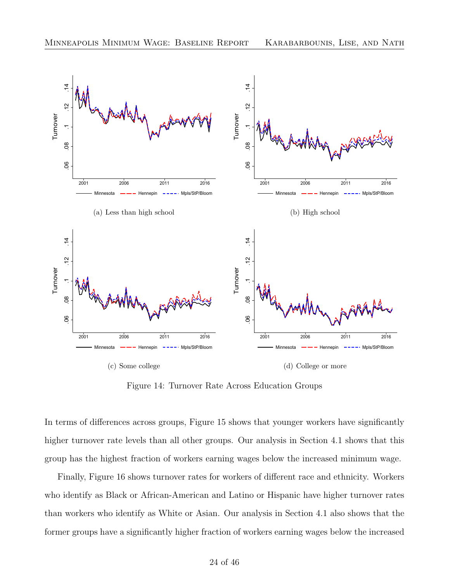<span id="page-25-0"></span>

Figure 14: Turnover Rate Across Education Groups

In terms of differences across groups, Figure [15](#page-26-1) shows that younger workers have significantly higher turnover rate levels than all other groups. Our analysis in Section [4.1](#page-39-0) shows that this group has the highest fraction of workers earning wages below the increased minimum wage.

Finally, Figure [16](#page-27-0) shows turnover rates for workers of different race and ethnicity. Workers who identify as Black or African-American and Latino or Hispanic have higher turnover rates than workers who identify as White or Asian. Our analysis in Section [4.1](#page-39-0) also shows that the former groups have a significantly higher fraction of workers earning wages below the increased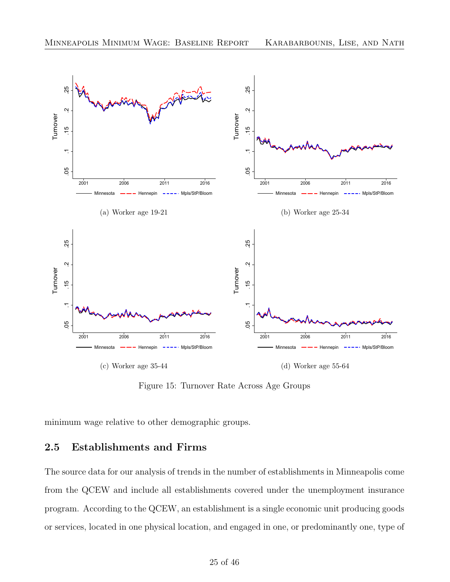<span id="page-26-1"></span>

Figure 15: Turnover Rate Across Age Groups

minimum wage relative to other demographic groups.

#### <span id="page-26-0"></span>2.5 Establishments and Firms

The source data for our analysis of trends in the number of establishments in Minneapolis come from the QCEW and include all establishments covered under the unemployment insurance program. According to the QCEW, an establishment is a single economic unit producing goods or services, located in one physical location, and engaged in one, or predominantly one, type of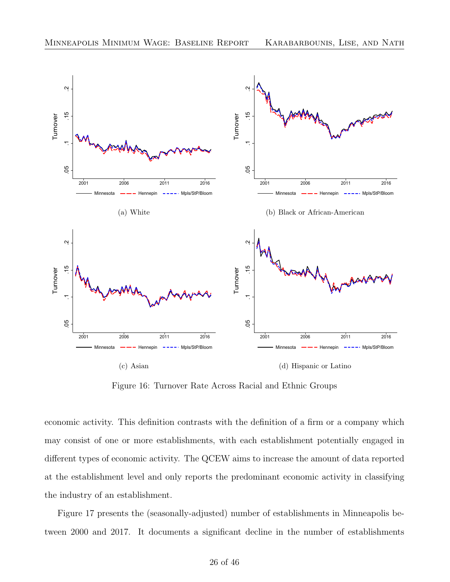<span id="page-27-0"></span>

Figure 16: Turnover Rate Across Racial and Ethnic Groups

economic activity. This definition contrasts with the definition of a firm or a company which may consist of one or more establishments, with each establishment potentially engaged in different types of economic activity. The QCEW aims to increase the amount of data reported at the establishment level and only reports the predominant economic activity in classifying the industry of an establishment.

Figure [17](#page-28-0) presents the (seasonally-adjusted) number of establishments in Minneapolis between 2000 and 2017. It documents a significant decline in the number of establishments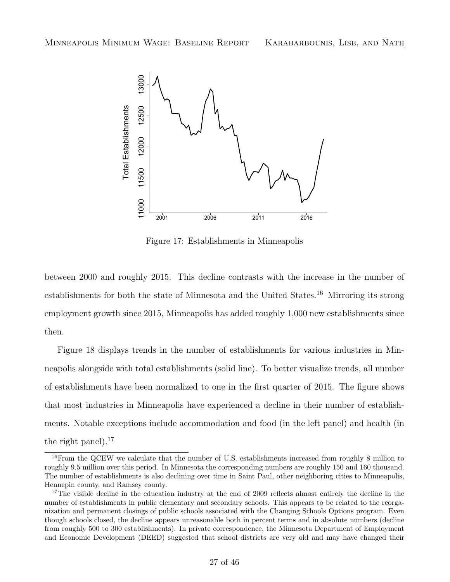<span id="page-28-0"></span>

Figure 17: Establishments in Minneapolis

between 2000 and roughly 2015. This decline contrasts with the increase in the number of establishments for both the state of Minnesota and the United States.[16](#page-28-1) Mirroring its strong employment growth since 2015, Minneapolis has added roughly 1,000 new establishments since then.

Figure [18](#page-29-0) displays trends in the number of establishments for various industries in Minneapolis alongside with total establishments (solid line). To better visualize trends, all number of establishments have been normalized to one in the first quarter of 2015. The figure shows that most industries in Minneapolis have experienced a decline in their number of establishments. Notable exceptions include accommodation and food (in the left panel) and health (in the right panel). $^{17}$  $^{17}$  $^{17}$ 

<span id="page-28-1"></span><sup>&</sup>lt;sup>16</sup>From the QCEW we calculate that the number of U.S. establishments increased from roughly 8 million to roughly 9.5 million over this period. In Minnesota the corresponding numbers are roughly 150 and 160 thousand. The number of establishments is also declining over time in Saint Paul, other neighboring cities to Minneapolis, Hennepin county, and Ramsey county.

<span id="page-28-2"></span><sup>&</sup>lt;sup>17</sup>The visible decline in the education industry at the end of 2009 reflects almost entirely the decline in the number of establishments in public elementary and secondary schools. This appears to be related to the reorganization and permanent closings of public schools associated with the Changing Schools Options program. Even though schools closed, the decline appears unreasonable both in percent terms and in absolute numbers (decline from roughly 500 to 300 establishments). In private correspondence, the Minnesota Department of Employment and Economic Development (DEED) suggested that school districts are very old and may have changed their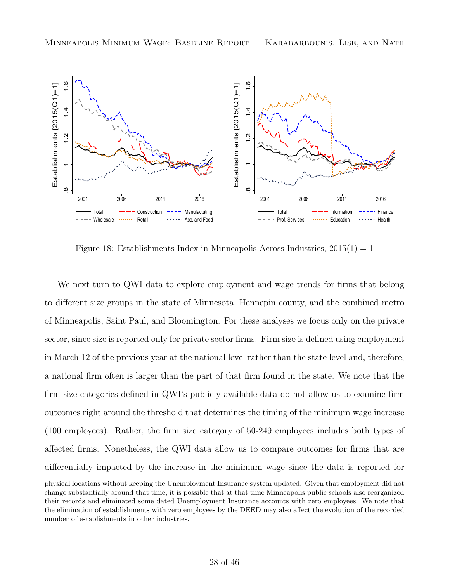<span id="page-29-0"></span>

Figure 18: Establishments Index in Minneapolis Across Industries,  $2015(1) = 1$ 

We next turn to QWI data to explore employment and wage trends for firms that belong to different size groups in the state of Minnesota, Hennepin county, and the combined metro of Minneapolis, Saint Paul, and Bloomington. For these analyses we focus only on the private sector, since size is reported only for private sector firms. Firm size is defined using employment in March 12 of the previous year at the national level rather than the state level and, therefore, a national firm often is larger than the part of that firm found in the state. We note that the firm size categories defined in QWI's publicly available data do not allow us to examine firm outcomes right around the threshold that determines the timing of the minimum wage increase (100 employees). Rather, the firm size category of 50-249 employees includes both types of affected firms. Nonetheless, the QWI data allow us to compare outcomes for firms that are differentially impacted by the increase in the minimum wage since the data is reported for

physical locations without keeping the Unemployment Insurance system updated. Given that employment did not change substantially around that time, it is possible that at that time Minneapolis public schools also reorganized their records and eliminated some dated Unemployment Insurance accounts with zero employees. We note that the elimination of establishments with zero employees by the DEED may also affect the evolution of the recorded number of establishments in other industries.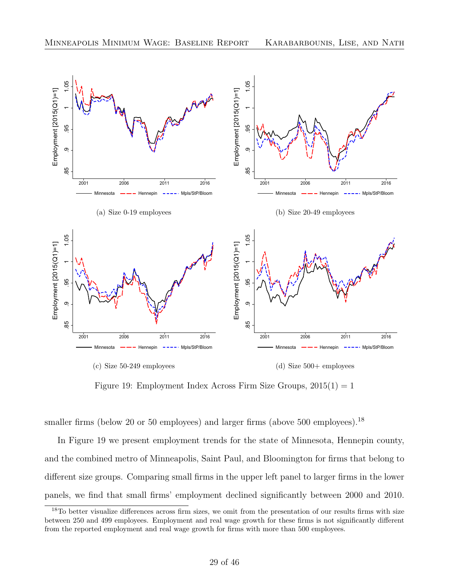<span id="page-30-1"></span>

Figure 19: Employment Index Across Firm Size Groups,  $2015(1) = 1$ 

smaller firms (below 20 or 50 employees) and larger firms (above 500 employees).<sup>[18](#page-30-0)</sup>

In Figure [19](#page-30-1) we present employment trends for the state of Minnesota, Hennepin county, and the combined metro of Minneapolis, Saint Paul, and Bloomington for firms that belong to different size groups. Comparing small firms in the upper left panel to larger firms in the lower panels, we find that small firms' employment declined significantly between 2000 and 2010.

<span id="page-30-0"></span><sup>&</sup>lt;sup>18</sup>To better visualize differences across firm sizes, we omit from the presentation of our results firms with size between 250 and 499 employees. Employment and real wage growth for these firms is not significantly different from the reported employment and real wage growth for firms with more than 500 employees.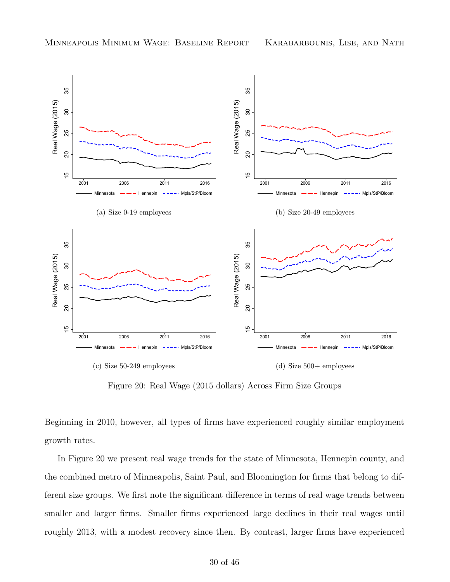<span id="page-31-0"></span>

Figure 20: Real Wage (2015 dollars) Across Firm Size Groups

Beginning in 2010, however, all types of firms have experienced roughly similar employment growth rates.

In Figure [20](#page-31-0) we present real wage trends for the state of Minnesota, Hennepin county, and the combined metro of Minneapolis, Saint Paul, and Bloomington for firms that belong to different size groups. We first note the significant difference in terms of real wage trends between smaller and larger firms. Smaller firms experienced large declines in their real wages until roughly 2013, with a modest recovery since then. By contrast, larger firms have experienced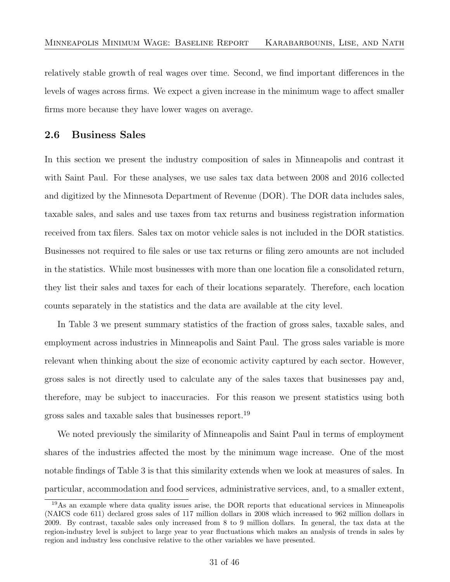relatively stable growth of real wages over time. Second, we find important differences in the levels of wages across firms. We expect a given increase in the minimum wage to affect smaller firms more because they have lower wages on average.

#### <span id="page-32-0"></span>2.6 Business Sales

In this section we present the industry composition of sales in Minneapolis and contrast it with Saint Paul. For these analyses, we use sales tax data between 2008 and 2016 collected and digitized by the Minnesota Department of Revenue (DOR). The DOR data includes sales, taxable sales, and sales and use taxes from tax returns and business registration information received from tax filers. Sales tax on motor vehicle sales is not included in the DOR statistics. Businesses not required to file sales or use tax returns or filing zero amounts are not included in the statistics. While most businesses with more than one location file a consolidated return, they list their sales and taxes for each of their locations separately. Therefore, each location counts separately in the statistics and the data are available at the city level.

In Table [3](#page-33-0) we present summary statistics of the fraction of gross sales, taxable sales, and employment across industries in Minneapolis and Saint Paul. The gross sales variable is more relevant when thinking about the size of economic activity captured by each sector. However, gross sales is not directly used to calculate any of the sales taxes that businesses pay and, therefore, may be subject to inaccuracies. For this reason we present statistics using both gross sales and taxable sales that businesses report.<sup>[19](#page-32-1)</sup>

We noted previously the similarity of Minneapolis and Saint Paul in terms of employment shares of the industries affected the most by the minimum wage increase. One of the most notable findings of Table [3](#page-33-0) is that this similarity extends when we look at measures of sales. In particular, accommodation and food services, administrative services, and, to a smaller extent,

<span id="page-32-1"></span><sup>19</sup>As an example where data quality issues arise, the DOR reports that educational services in Minneapolis (NAICS code 611) declared gross sales of 117 million dollars in 2008 which increased to 962 million dollars in 2009. By contrast, taxable sales only increased from 8 to 9 million dollars. In general, the tax data at the region-industry level is subject to large year to year fluctuations which makes an analysis of trends in sales by region and industry less conclusive relative to the other variables we have presented.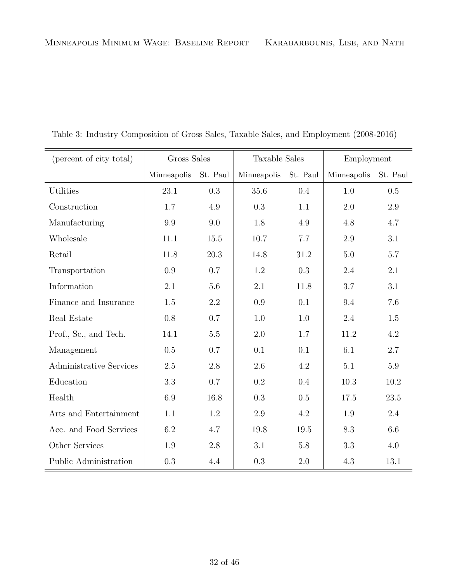| (percent of city total)        | Gross Sales          |         | <b>Taxable Sales</b> |          | Employment  |          |
|--------------------------------|----------------------|---------|----------------------|----------|-------------|----------|
|                                | Minneapolis St. Paul |         | Minneapolis          | St. Paul | Minneapolis | St. Paul |
| <b>Utilities</b>               | 23.1                 | 0.3     | 35.6                 | 0.4      | 1.0         | 0.5      |
| Construction                   | 1.7                  | 4.9     | 0.3                  | 1.1      | 2.0         | 2.9      |
| Manufacturing                  | 9.9                  | 9.0     | 1.8                  | 4.9      | 4.8         | 4.7      |
| Wholesale                      | 11.1                 | 15.5    | 10.7                 | 7.7      | 2.9         | 3.1      |
| Retail                         | 11.8                 | 20.3    | 14.8                 | 31.2     | 5.0         | 5.7      |
| Transportation                 | 0.9                  | 0.7     | 1.2                  | 0.3      | 2.4         | 2.1      |
| Information                    | 2.1                  | 5.6     | 2.1                  | 11.8     | 3.7         | 3.1      |
| Finance and Insurance          | 1.5                  | 2.2     | 0.9                  | 0.1      | 9.4         | 7.6      |
| Real Estate                    | 0.8                  | 0.7     | 1.0                  | 1.0      | 2.4         | 1.5      |
| Prof., Sc., and Tech.          | 14.1                 | $5.5\,$ | 2.0                  | 1.7      | 11.2        | 4.2      |
| Management                     | 0.5                  | 0.7     | 0.1                  | 0.1      | 6.1         | 2.7      |
| <b>Administrative Services</b> | 2.5                  | 2.8     | 2.6                  | 4.2      | 5.1         | 5.9      |
| Education                      | 3.3                  | 0.7     | 0.2                  | 0.4      | 10.3        | 10.2     |
| Health                         | $6.9\,$              | 16.8    | 0.3                  | 0.5      | 17.5        | 23.5     |
| Arts and Entertainment         | 1.1                  | 1.2     | 2.9                  | 4.2      | 1.9         | 2.4      |
| Acc. and Food Services         | 6.2                  | 4.7     | 19.8                 | 19.5     | 8.3         | 6.6      |
| Other Services                 | 1.9                  | 2.8     | 3.1                  | $5.8\,$  | 3.3         | 4.0      |
| Public Administration          | 0.3                  | 4.4     | 0.3                  | $2.0\,$  | 4.3         | 13.1     |

<span id="page-33-0"></span>Table 3: Industry Composition of Gross Sales, Taxable Sales, and Employment (2008-2016)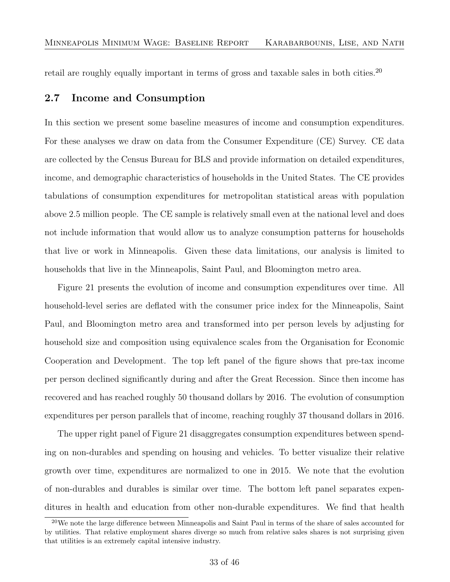retail are roughly equally important in terms of gross and taxable sales in both cities.<sup>[20](#page-34-1)</sup>

#### <span id="page-34-0"></span>2.7 Income and Consumption

In this section we present some baseline measures of income and consumption expenditures. For these analyses we draw on data from the Consumer Expenditure (CE) Survey. CE data are collected by the Census Bureau for BLS and provide information on detailed expenditures, income, and demographic characteristics of households in the United States. The CE provides tabulations of consumption expenditures for metropolitan statistical areas with population above 2.5 million people. The CE sample is relatively small even at the national level and does not include information that would allow us to analyze consumption patterns for households that live or work in Minneapolis. Given these data limitations, our analysis is limited to households that live in the Minneapolis, Saint Paul, and Bloomington metro area.

Figure [21](#page-35-0) presents the evolution of income and consumption expenditures over time. All household-level series are deflated with the consumer price index for the Minneapolis, Saint Paul, and Bloomington metro area and transformed into per person levels by adjusting for household size and composition using equivalence scales from the Organisation for Economic Cooperation and Development. The top left panel of the figure shows that pre-tax income per person declined significantly during and after the Great Recession. Since then income has recovered and has reached roughly 50 thousand dollars by 2016. The evolution of consumption expenditures per person parallels that of income, reaching roughly 37 thousand dollars in 2016.

The upper right panel of Figure [21](#page-35-0) disaggregates consumption expenditures between spending on non-durables and spending on housing and vehicles. To better visualize their relative growth over time, expenditures are normalized to one in 2015. We note that the evolution of non-durables and durables is similar over time. The bottom left panel separates expenditures in health and education from other non-durable expenditures. We find that health

<span id="page-34-1"></span><sup>&</sup>lt;sup>20</sup>We note the large difference between Minneapolis and Saint Paul in terms of the share of sales accounted for by utilities. That relative employment shares diverge so much from relative sales shares is not surprising given that utilities is an extremely capital intensive industry.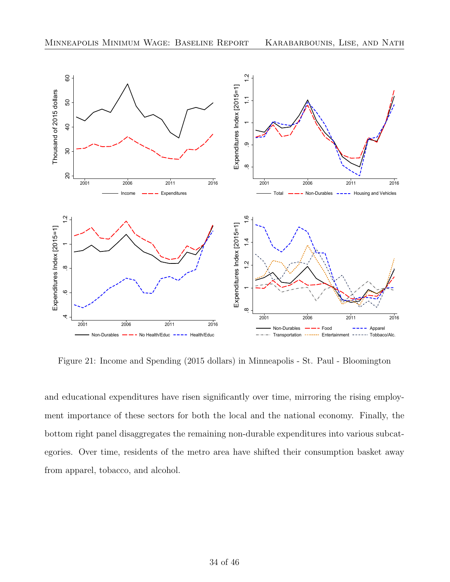<span id="page-35-0"></span>

Figure 21: Income and Spending (2015 dollars) in Minneapolis - St. Paul - Bloomington

and educational expenditures have risen significantly over time, mirroring the rising employment importance of these sectors for both the local and the national economy. Finally, the bottom right panel disaggregates the remaining non-durable expenditures into various subcategories. Over time, residents of the metro area have shifted their consumption basket away from apparel, tobacco, and alcohol.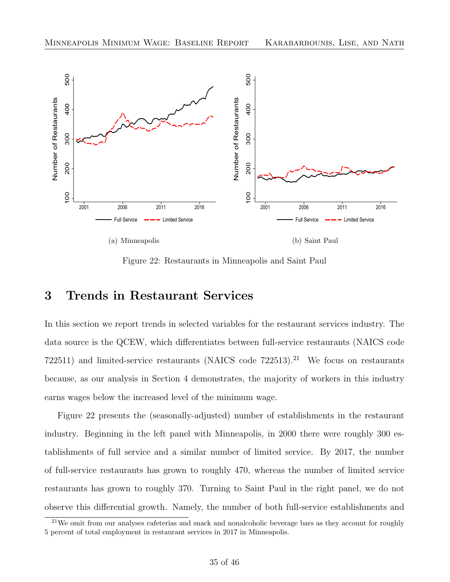<span id="page-36-2"></span>

Figure 22: Restaurants in Minneapolis and Saint Paul

### <span id="page-36-0"></span>3 Trends in Restaurant Services

In this section we report trends in selected variables for the restaurant services industry. The data source is the QCEW, which differentiates between full-service restaurants (NAICS code 722511) and limited-service restaurants (NAICS code  $722513$ ).<sup>[21](#page-36-1)</sup> We focus on restaurants because, as our analysis in Section [4](#page-38-0) demonstrates, the majority of workers in this industry earns wages below the increased level of the minimum wage.

Figure [22](#page-36-2) presents the (seasonally-adjusted) number of establishments in the restaurant industry. Beginning in the left panel with Minneapolis, in 2000 there were roughly 300 establishments of full service and a similar number of limited service. By 2017, the number of full-service restaurants has grown to roughly 470, whereas the number of limited service restaurants has grown to roughly 370. Turning to Saint Paul in the right panel, we do not observe this differential growth. Namely, the number of both full-service establishments and

<span id="page-36-1"></span><sup>&</sup>lt;sup>21</sup>We omit from our analyses cafeterias and snack and nonalcoholic beverage bars as they account for roughly 5 percent of total employment in restaurant services in 2017 in Minneapolis.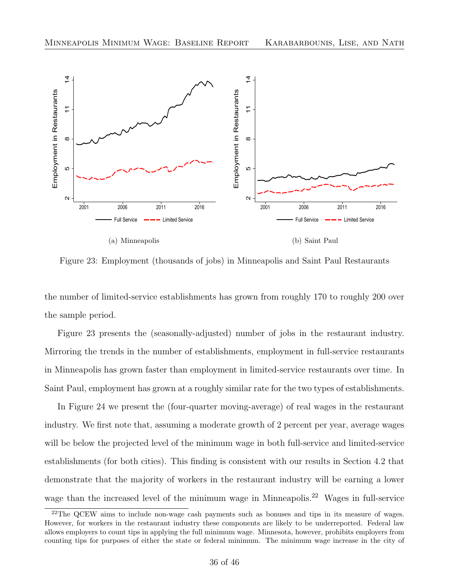<span id="page-37-0"></span>

Figure 23: Employment (thousands of jobs) in Minneapolis and Saint Paul Restaurants

the number of limited-service establishments has grown from roughly 170 to roughly 200 over the sample period.

Figure [23](#page-37-0) presents the (seasonally-adjusted) number of jobs in the restaurant industry. Mirroring the trends in the number of establishments, employment in full-service restaurants in Minneapolis has grown faster than employment in limited-service restaurants over time. In Saint Paul, employment has grown at a roughly similar rate for the two types of establishments.

In Figure [24](#page-38-1) we present the (four-quarter moving-average) of real wages in the restaurant industry. We first note that, assuming a moderate growth of 2 percent per year, average wages will be below the projected level of the minimum wage in both full-service and limited-service establishments (for both cities). This finding is consistent with our results in Section [4.2](#page-41-0) that demonstrate that the majority of workers in the restaurant industry will be earning a lower wage than the increased level of the minimum wage in Minneapolis.<sup>[22](#page-37-1)</sup> Wages in full-service

<span id="page-37-1"></span><sup>&</sup>lt;sup>22</sup>The QCEW aims to include non-wage cash payments such as bonuses and tips in its measure of wages. However, for workers in the restaurant industry these components are likely to be underreported. Federal law allows employers to count tips in applying the full minimum wage. Minnesota, however, prohibits employers from counting tips for purposes of either the state or federal minimum. The minimum wage increase in the city of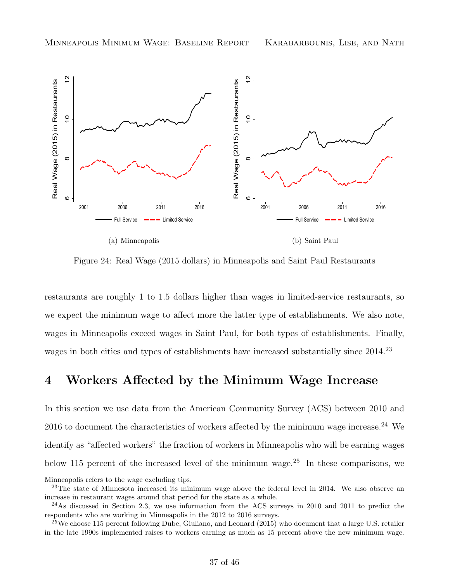<span id="page-38-1"></span>

Figure 24: Real Wage (2015 dollars) in Minneapolis and Saint Paul Restaurants

restaurants are roughly 1 to 1.5 dollars higher than wages in limited-service restaurants, so we expect the minimum wage to affect more the latter type of establishments. We also note, wages in Minneapolis exceed wages in Saint Paul, for both types of establishments. Finally, wages in both cities and types of establishments have increased substantially since 2014.<sup>[23](#page-38-2)</sup>

# <span id="page-38-0"></span>4 Workers Affected by the Minimum Wage Increase

In this section we use data from the American Community Survey (ACS) between 2010 and  $2016$  to document the characteristics of workers affected by the minimum wage increase.<sup>[24](#page-38-3)</sup> We identify as "affected workers" the fraction of workers in Minneapolis who will be earning wages below 115 percent of the increased level of the minimum wage.<sup>[25](#page-38-4)</sup> In these comparisons, we

Minneapolis refers to the wage excluding tips.

<span id="page-38-2"></span> $^{23}$ The state of Minnesota increased its minimum wage above the federal level in 2014. We also observe an increase in restaurant wages around that period for the state as a whole.

<span id="page-38-3"></span> $^{24}$ As discussed in Section [2.3,](#page-15-0) we use information from the ACS surveys in 2010 and 2011 to predict the respondents who are working in Minneapolis in the 2012 to 2016 surveys.

<span id="page-38-4"></span> $^{25}$ We choose 115 percent following [Dube, Giuliano, and Leonard](#page-47-8) [\(2015\)](#page-47-8) who document that a large U.S. retailer in the late 1990s implemented raises to workers earning as much as 15 percent above the new minimum wage.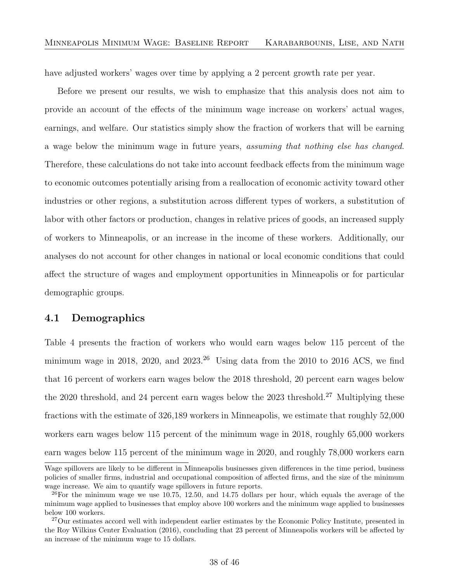have adjusted workers' wages over time by applying a 2 percent growth rate per year.

Before we present our results, we wish to emphasize that this analysis does not aim to provide an account of the effects of the minimum wage increase on workers' actual wages, earnings, and welfare. Our statistics simply show the fraction of workers that will be earning a wage below the minimum wage in future years, assuming that nothing else has changed. Therefore, these calculations do not take into account feedback effects from the minimum wage to economic outcomes potentially arising from a reallocation of economic activity toward other industries or other regions, a substitution across different types of workers, a substitution of labor with other factors or production, changes in relative prices of goods, an increased supply of workers to Minneapolis, or an increase in the income of these workers. Additionally, our analyses do not account for other changes in national or local economic conditions that could affect the structure of wages and employment opportunities in Minneapolis or for particular demographic groups.

#### <span id="page-39-0"></span>4.1 Demographics

Table [4](#page-40-0) presents the fraction of workers who would earn wages below 115 percent of the minimum wage in 2018, 2020, and  $2023<sup>26</sup>$  $2023<sup>26</sup>$  $2023<sup>26</sup>$  Using data from the 2010 to 2016 ACS, we find that 16 percent of workers earn wages below the 2018 threshold, 20 percent earn wages below the 2020 threshold, and 24 percent earn wages below the 2023 threshold.<sup>[27](#page-39-2)</sup> Multiplying these fractions with the estimate of 326,189 workers in Minneapolis, we estimate that roughly 52,000 workers earn wages below 115 percent of the minimum wage in 2018, roughly 65,000 workers earn wages below 115 percent of the minimum wage in 2020, and roughly 78,000 workers earn

Wage spillovers are likely to be different in Minneapolis businesses given differences in the time period, business policies of smaller firms, industrial and occupational composition of affected firms, and the size of the minimum wage increase. We aim to quantify wage spillovers in future reports.

<span id="page-39-1"></span> $^{26}$ For the minimum wage we use 10.75, 12.50, and 14.75 dollars per hour, which equals the average of the minimum wage applied to businesses that employ above 100 workers and the minimum wage applied to businesses below 100 workers.

<span id="page-39-2"></span><sup>&</sup>lt;sup>27</sup>Our estimates accord well with independent earlier estimates by the Economic Policy Institute, presented in the [Roy Wilkins Center Evaluation](#page-47-9) [\(2016\)](#page-47-9), concluding that 23 percent of Minneapolis workers will be affected by an increase of the minimum wage to 15 dollars.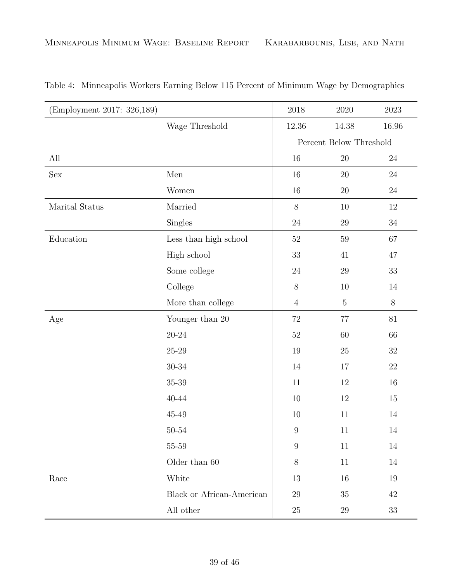| (Employment 2017: 326,189) |                                        | $2018\,$                | $2020\,$    | $2023\,$ |
|----------------------------|----------------------------------------|-------------------------|-------------|----------|
|                            | Wage Threshold                         | 12.36                   | 14.38       | 16.96    |
|                            |                                        | Percent Below Threshold |             |          |
| All                        |                                        | 16                      | $20\,$      | $24\,$   |
| $\operatorname{Sex}$       | $\operatorname{Men}$                   | 16                      | $20\,$      | $24\,$   |
|                            | Women                                  | 16                      | 20          | $24\,$   |
| Marital Status             | Married                                | 8                       | $10\,$      | 12       |
|                            | <b>Singles</b>                         | 24                      | $29\,$      | $34\,$   |
| Education                  | $\operatorname{Less}$ than high school | $52\,$                  | $59\,$      | 67       |
|                            | High school                            | 33                      | 41          | 47       |
|                            | Some college                           | $24\,$                  | $29\,$      | 33       |
|                            | College                                | $8\,$                   | 10          | 14       |
|                            | More than college                      | $\overline{4}$          | $\mathbf 5$ | $8\,$    |
| Age                        | Younger than $20\,$                    | 72                      | 77          | 81       |
|                            | $20 - 24$                              | $52\,$                  | 60          | 66       |
|                            | $25 - 29$                              | 19                      | 25          | $32\,$   |
|                            | $30 - 34$                              | 14                      | 17          | $22\,$   |
|                            | $35 - 39$                              | 11                      | 12          | 16       |
|                            | $40 - 44$                              | 10                      | 12          | 15       |
|                            | $45 - 49$                              | 10                      | 11          | 14       |
|                            | $50\hbox{-}54$                         | $\boldsymbol{9}$        | 11          | 14       |
|                            | $55\mbox{--}59$                        | $\overline{9}$          | $11\,$      | $14\,$   |
|                            | Older than $60\,$                      | 8                       | 11          | $14\,$   |
| Race                       | White                                  | 13                      | 16          | $19\,$   |
|                            | Black or African-American              | 29                      | $35\,$      | $42\,$   |
|                            | All other                              | $25\,$                  | 29          | $33\,$   |

#### <span id="page-40-0"></span>Table 4: Minneapolis Workers Earning Below 115 Percent of Minimum Wage by Demographics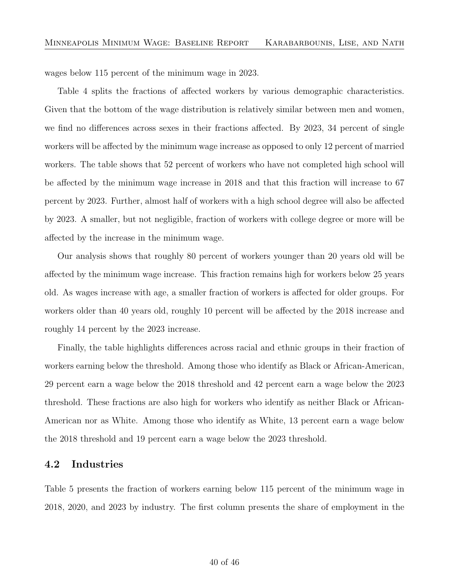wages below 115 percent of the minimum wage in 2023.

Table [4](#page-40-0) splits the fractions of affected workers by various demographic characteristics. Given that the bottom of the wage distribution is relatively similar between men and women, we find no differences across sexes in their fractions affected. By 2023, 34 percent of single workers will be affected by the minimum wage increase as opposed to only 12 percent of married workers. The table shows that 52 percent of workers who have not completed high school will be affected by the minimum wage increase in 2018 and that this fraction will increase to 67 percent by 2023. Further, almost half of workers with a high school degree will also be affected by 2023. A smaller, but not negligible, fraction of workers with college degree or more will be affected by the increase in the minimum wage.

Our analysis shows that roughly 80 percent of workers younger than 20 years old will be affected by the minimum wage increase. This fraction remains high for workers below 25 years old. As wages increase with age, a smaller fraction of workers is affected for older groups. For workers older than 40 years old, roughly 10 percent will be affected by the 2018 increase and roughly 14 percent by the 2023 increase.

Finally, the table highlights differences across racial and ethnic groups in their fraction of workers earning below the threshold. Among those who identify as Black or African-American, 29 percent earn a wage below the 2018 threshold and 42 percent earn a wage below the 2023 threshold. These fractions are also high for workers who identify as neither Black or African-American nor as White. Among those who identify as White, 13 percent earn a wage below the 2018 threshold and 19 percent earn a wage below the 2023 threshold.

#### <span id="page-41-0"></span>4.2 Industries

Table [5](#page-42-0) presents the fraction of workers earning below 115 percent of the minimum wage in 2018, 2020, and 2023 by industry. The first column presents the share of employment in the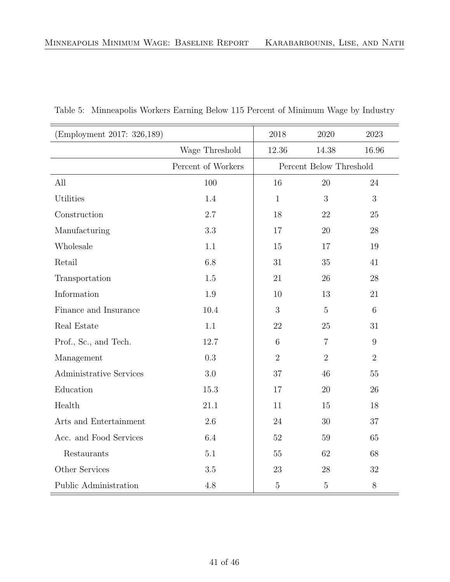| (Employment 2017: 326,189)     |                    | 2018                    | 2020           | 2023             |
|--------------------------------|--------------------|-------------------------|----------------|------------------|
|                                | Wage Threshold     | 12.36                   | 14.38          | 16.96            |
|                                | Percent of Workers | Percent Below Threshold |                |                  |
| All                            | 100                | 16                      | 20             | 24               |
| <b>Utilities</b>               | 1.4                | $\mathbf{1}$            | 3              | 3                |
| Construction                   | 2.7                | 18                      | 22             | 25               |
| Manufacturing                  | 3.3                | 17                      | 20             | 28               |
| Wholesale                      | 1.1                | 15                      | 17             | 19               |
| Retail                         | 6.8                | 31                      | 35             | 41               |
| Transportation                 | 1.5                | 21                      | 26             | 28               |
| Information                    | 1.9                | 10                      | 13             | 21               |
| Finance and Insurance          | 10.4               | 3                       | $\overline{5}$ | 6                |
| Real Estate                    | 1.1                | 22                      | 25             | 31               |
| Prof., Sc., and Tech.          | 12.7               | $\overline{6}$          | $\overline{7}$ | $\boldsymbol{9}$ |
| Management                     | 0.3                | $\overline{2}$          | $\overline{2}$ | $\overline{2}$   |
| <b>Administrative Services</b> | 3.0                | 37                      | 46             | $55\,$           |
| Education                      | 15.3               | 17                      | 20             | 26               |
| Health                         | 21.1               | 11                      | 15             | 18               |
| Arts and Entertainment         | 2.6                | 24                      | 30             | $37\,$           |
| Acc. and Food Services         | 6.4                | $52\,$                  | 59             | 65               |
| Restaurants                    | $5.1\,$            | 55                      | 62             | 68               |
| Other Services                 | 3.5                | 23                      | 28             | 32               |
| Public Administration          | 4.8                | $\overline{5}$          | $5\,$          | $8\,$            |

<span id="page-42-0"></span>Table 5: Minneapolis Workers Earning Below 115 Percent of Minimum Wage by Industry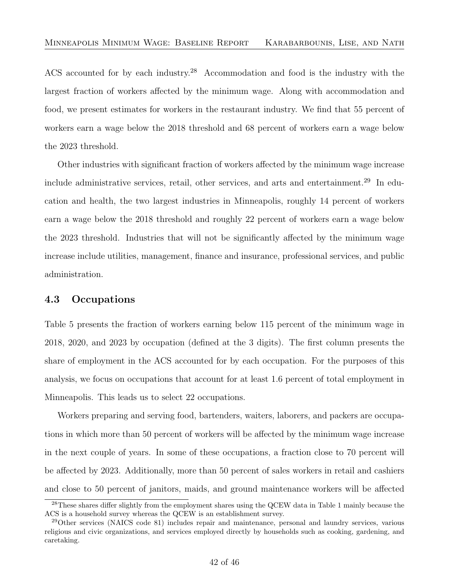ACS accounted for by each industry.[28](#page-43-1) Accommodation and food is the industry with the largest fraction of workers affected by the minimum wage. Along with accommodation and food, we present estimates for workers in the restaurant industry. We find that 55 percent of workers earn a wage below the 2018 threshold and 68 percent of workers earn a wage below the 2023 threshold.

Other industries with significant fraction of workers affected by the minimum wage increase include administrative services, retail, other services, and arts and entertainment.<sup>[29](#page-43-2)</sup> In education and health, the two largest industries in Minneapolis, roughly 14 percent of workers earn a wage below the 2018 threshold and roughly 22 percent of workers earn a wage below the 2023 threshold. Industries that will not be significantly affected by the minimum wage increase include utilities, management, finance and insurance, professional services, and public administration.

#### <span id="page-43-0"></span>4.3 Occupations

Table [5](#page-42-0) presents the fraction of workers earning below 115 percent of the minimum wage in 2018, 2020, and 2023 by occupation (defined at the 3 digits). The first column presents the share of employment in the ACS accounted for by each occupation. For the purposes of this analysis, we focus on occupations that account for at least 1.6 percent of total employment in Minneapolis. This leads us to select 22 occupations.

Workers preparing and serving food, bartenders, waiters, laborers, and packers are occupations in which more than 50 percent of workers will be affected by the minimum wage increase in the next couple of years. In some of these occupations, a fraction close to 70 percent will be affected by 2023. Additionally, more than 50 percent of sales workers in retail and cashiers and close to 50 percent of janitors, maids, and ground maintenance workers will be affected

<span id="page-43-1"></span><sup>&</sup>lt;sup>28</sup>These shares differ slightly from the employment shares using the QCEW data in Table [1](#page-9-0) mainly because the ACS is a household survey whereas the QCEW is an establishment survey.

<span id="page-43-2"></span><sup>29</sup>Other services (NAICS code 81) includes repair and maintenance, personal and laundry services, various religious and civic organizations, and services employed directly by households such as cooking, gardening, and caretaking.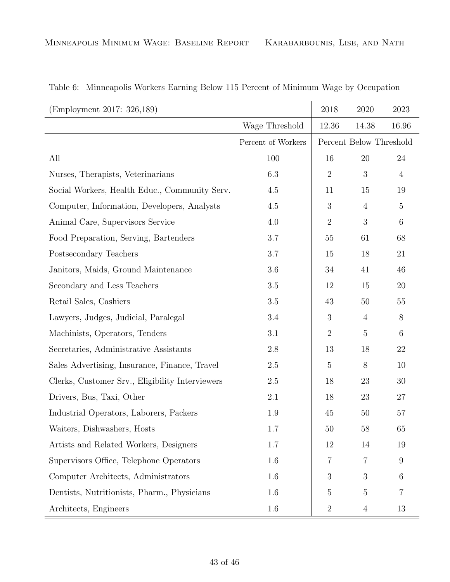| (Employment 2017: 326,189)                      |                    | 2018                    | 2020           | 2023           |
|-------------------------------------------------|--------------------|-------------------------|----------------|----------------|
|                                                 | Wage Threshold     | 12.36                   | 14.38          | 16.96          |
|                                                 | Percent of Workers | Percent Below Threshold |                |                |
| All                                             | 100                | 16                      | 20             | 24             |
| Nurses, Therapists, Veterinarians               | 6.3                | $\overline{2}$          | 3              | $\overline{4}$ |
| Social Workers, Health Educ., Community Serv.   | 4.5                | 11                      | 15             | 19             |
| Computer, Information, Developers, Analysts     | 4.5                | 3                       | $\overline{4}$ | $\overline{5}$ |
| Animal Care, Supervisors Service                | 4.0                | $\overline{2}$          | 3              | 6              |
| Food Preparation, Serving, Bartenders           | 3.7                | 55                      | 61             | 68             |
| Postsecondary Teachers                          | 3.7                | 15                      | 18             | 21             |
| Janitors, Maids, Ground Maintenance             | 3.6                | 34                      | 41             | 46             |
| Secondary and Less Teachers                     | $3.5\,$            | 12                      | 15             | 20             |
| Retail Sales, Cashiers                          | 3.5                | 43                      | 50             | 55             |
| Lawyers, Judges, Judicial, Paralegal            | 3.4                | 3                       | $\overline{4}$ | $8\,$          |
| Machinists, Operators, Tenders                  | 3.1                | $\overline{2}$          | $\overline{5}$ | $6\,$          |
| Secretaries, Administrative Assistants          | 2.8                | 13                      | 18             | 22             |
| Sales Advertising, Insurance, Finance, Travel   | $2.5\,$            | $\overline{5}$          | 8              | 10             |
| Clerks, Customer Srv., Eligibility Interviewers | 2.5                | 18                      | 23             | 30             |
| Drivers, Bus, Taxi, Other                       | 2.1                | 18                      | 23             | 27             |
| Industrial Operators, Laborers, Packers         | 1.9                | 45                      | 50             | 57             |
| Waiters, Dishwashers, Hosts                     | 1.7                | 50                      | 58             | 65             |
| Artists and Related Workers, Designers          | 1.7                | 12                      | 14             | 19             |
| Supervisors Office, Telephone Operators         | 1.6                | 7                       | 7              | 9              |
| Computer Architects, Administrators             | 1.6                | 3                       | 3              | 6              |
| Dentists, Nutritionists, Pharm., Physicians     | 1.6                | 5                       | $\overline{5}$ | 7              |
| Architects, Engineers                           | $1.6\,$            | $\overline{2}$          | $\overline{4}$ | 13             |

#### Table 6: Minneapolis Workers Earning Below 115 Percent of Minimum Wage by Occupation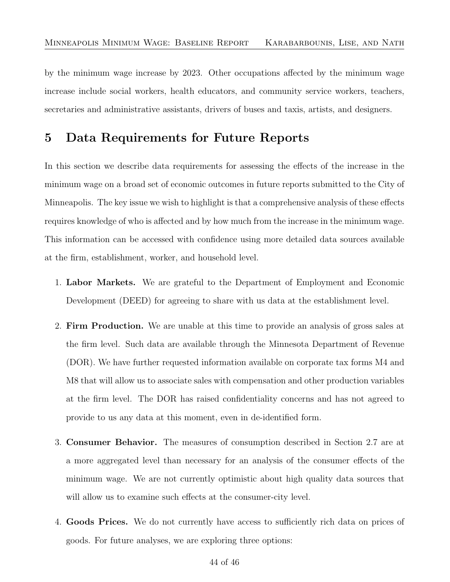by the minimum wage increase by 2023. Other occupations affected by the minimum wage increase include social workers, health educators, and community service workers, teachers, secretaries and administrative assistants, drivers of buses and taxis, artists, and designers.

# <span id="page-45-0"></span>5 Data Requirements for Future Reports

In this section we describe data requirements for assessing the effects of the increase in the minimum wage on a broad set of economic outcomes in future reports submitted to the City of Minneapolis. The key issue we wish to highlight is that a comprehensive analysis of these effects requires knowledge of who is affected and by how much from the increase in the minimum wage. This information can be accessed with confidence using more detailed data sources available at the firm, establishment, worker, and household level.

- 1. Labor Markets. We are grateful to the Department of Employment and Economic Development (DEED) for agreeing to share with us data at the establishment level.
- 2. Firm Production. We are unable at this time to provide an analysis of gross sales at the firm level. Such data are available through the Minnesota Department of Revenue (DOR). We have further requested information available on corporate tax forms M4 and M8 that will allow us to associate sales with compensation and other production variables at the firm level. The DOR has raised confidentiality concerns and has not agreed to provide to us any data at this moment, even in de-identified form.
- 3. Consumer Behavior. The measures of consumption described in Section [2.7](#page-34-0) are at a more aggregated level than necessary for an analysis of the consumer effects of the minimum wage. We are not currently optimistic about high quality data sources that will allow us to examine such effects at the consumer-city level.
- 4. Goods Prices. We do not currently have access to sufficiently rich data on prices of goods. For future analyses, we are exploring three options: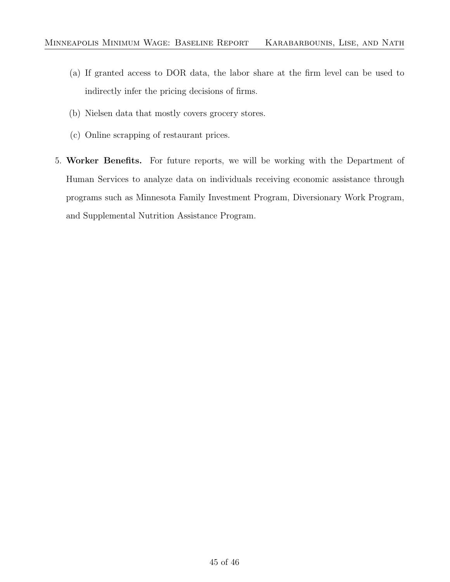- (a) If granted access to DOR data, the labor share at the firm level can be used to indirectly infer the pricing decisions of firms.
- (b) Nielsen data that mostly covers grocery stores.
- (c) Online scrapping of restaurant prices.
- 5. Worker Benefits. For future reports, we will be working with the Department of Human Services to analyze data on individuals receiving economic assistance through programs such as Minnesota Family Investment Program, Diversionary Work Program, and Supplemental Nutrition Assistance Program.